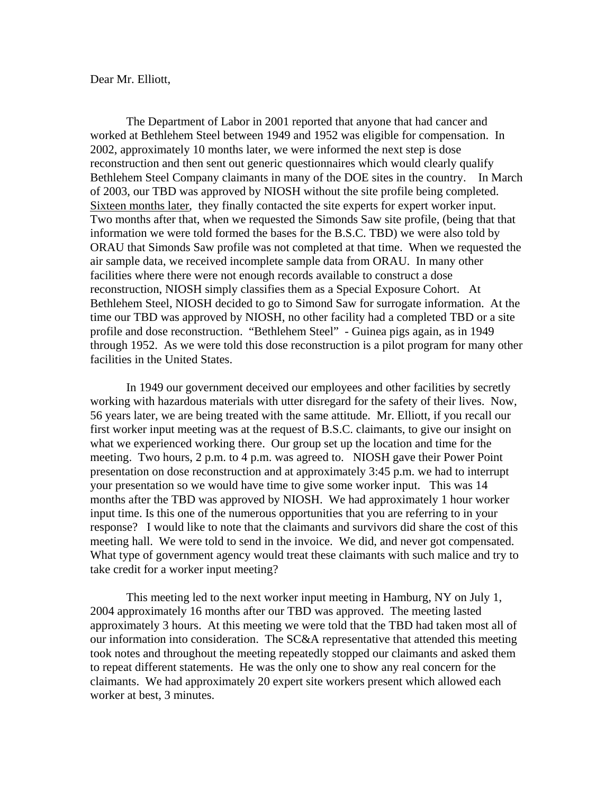Dear Mr. Elliott,

 Bethlehem Steel Company claimants in many of the DOE sites in the country. In March The Department of Labor in 2001 reported that anyone that had cancer and worked at Bethlehem Steel between 1949 and 1952 was eligible for compensation. In 2002, approximately 10 months later, we were informed the next step is dose reconstruction and then sent out generic questionnaires which would clearly qualify of 2003, our TBD was approved by NIOSH without the site profile being completed. Sixteen months later, they finally contacted the site experts for expert worker input. Two months after that, when we requested the Simonds Saw site profile, (being that that information we were told formed the bases for the B.S.C. TBD) we were also told by ORAU that Simonds Saw profile was not completed at that time. When we requested the air sample data, we received incomplete sample data from ORAU. In many other facilities where there were not enough records available to construct a dose reconstruction, NIOSH simply classifies them as a Special Exposure Cohort. At Bethlehem Steel, NIOSH decided to go to Simond Saw for surrogate information. At the time our TBD was approved by NIOSH, no other facility had a completed TBD or a site profile and dose reconstruction. "Bethlehem Steel" - Guinea pigs again, as in 1949 through 1952. As we were told this dose reconstruction is a pilot program for many other facilities in the United States.

In 1949 our government deceived our employees and other facilities by secretly working with hazardous materials with utter disregard for the safety of their lives. Now, 56 years later, we are being treated with the same attitude. Mr. Elliott, if you recall our first worker input meeting was at the request of B.S.C. claimants, to give our insight on what we experienced working there. Our group set up the location and time for the meeting. Two hours, 2 p.m. to 4 p.m. was agreed to. NIOSH gave their Power Point presentation on dose reconstruction and at approximately 3:45 p.m. we had to interrupt your presentation so we would have time to give some worker input. This was 14 months after the TBD was approved by NIOSH. We had approximately 1 hour worker input time. Is this one of the numerous opportunities that you are referring to in your response? I would like to note that the claimants and survivors did share the cost of this meeting hall. We were told to send in the invoice. We did, and never got compensated. What type of government agency would treat these claimants with such malice and try to take credit for a worker input meeting?

This meeting led to the next worker input meeting in Hamburg, NY on July 1, 2004 approximately 16 months after our TBD was approved. The meeting lasted approximately 3 hours. At this meeting we were told that the TBD had taken most all of our information into consideration. The SC&A representative that attended this meeting took notes and throughout the meeting repeatedly stopped our claimants and asked them to repeat different statements. He was the only one to show any real concern for the claimants. We had approximately 20 expert site workers present which allowed each worker at best, 3 minutes.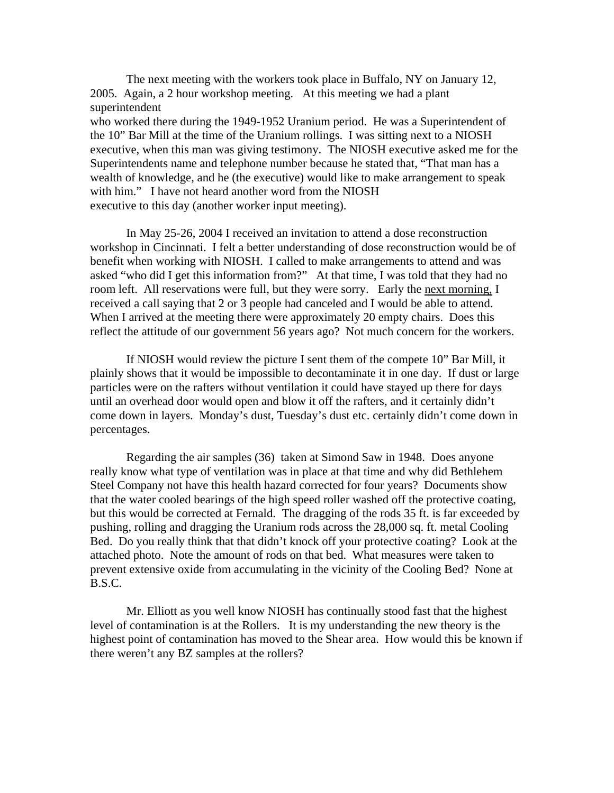The next meeting with the workers took place in Buffalo, NY on January 12, 2005. Again, a 2 hour workshop meeting. At this meeting we had a plant superintendent who worked there during the 1949-1952 Uranium period. He was a Superintendent of the 10" Bar Mill at the time of the Uranium rollings. I was sitting next to a NIOSH executive, when this man was giving testimony. The NIOSH executive asked me for the Superintendents name and telephone number because he stated that, "That man has a wealth of knowledge, and he (the executive) would like to make arrangement to speak with him." I have not heard another word from the NIOSH executive to this day (another worker input meeting).

In May 25-26, 2004 I received an invitation to attend a dose reconstruction workshop in Cincinnati. I felt a better understanding of dose reconstruction would be of benefit when working with NIOSH. I called to make arrangements to attend and was asked "who did I get this information from?" At that time, I was told that they had no room left. All reservations were full, but they were sorry. Early the next morning, I received a call saying that 2 or 3 people had canceled and I would be able to attend. When I arrived at the meeting there were approximately 20 empty chairs. Does this reflect the attitude of our government 56 years ago? Not much concern for the workers.

If NIOSH would review the picture I sent them of the compete 10" Bar Mill, it plainly shows that it would be impossible to decontaminate it in one day. If dust or large particles were on the rafters without ventilation it could have stayed up there for days until an overhead door would open and blow it off the rafters, and it certainly didn't come down in layers. Monday's dust, Tuesday's dust etc. certainly didn't come down in percentages.

Regarding the air samples (36) taken at Simond Saw in 1948. Does anyone really know what type of ventilation was in place at that time and why did Bethlehem Steel Company not have this health hazard corrected for four years? Documents show that the water cooled bearings of the high speed roller washed off the protective coating, but this would be corrected at Fernald. The dragging of the rods 35 ft. is far exceeded by pushing, rolling and dragging the Uranium rods across the 28,000 sq. ft. metal Cooling Bed. Do you really think that that didn't knock off your protective coating? Look at the attached photo. Note the amount of rods on that bed. What measures were taken to prevent extensive oxide from accumulating in the vicinity of the Cooling Bed? None at B.S.C.

Mr. Elliott as you well know NIOSH has continually stood fast that the highest level of contamination is at the Rollers. It is my understanding the new theory is the highest point of contamination has moved to the Shear area. How would this be known if there weren't any BZ samples at the rollers?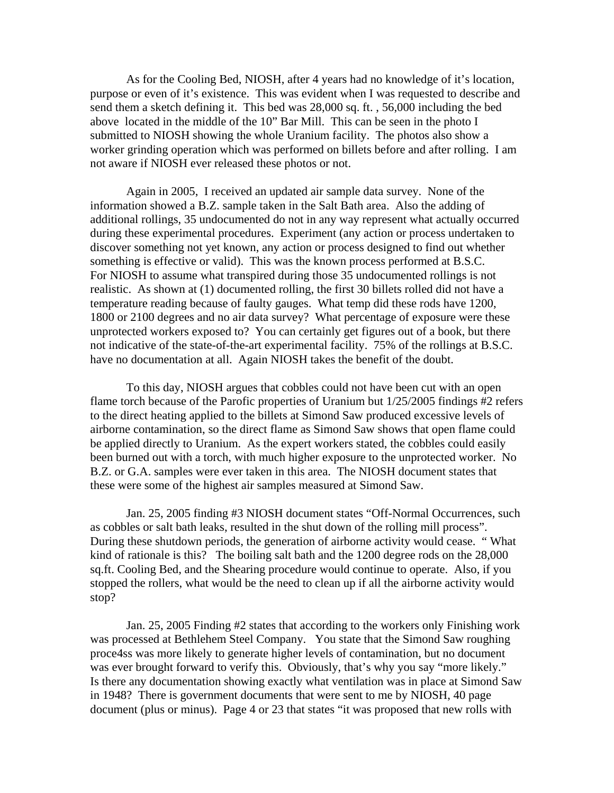As for the Cooling Bed, NIOSH, after 4 years had no knowledge of it's location, purpose or even of it's existence. This was evident when I was requested to describe and send them a sketch defining it. This bed was 28,000 sq. ft. , 56,000 including the bed above located in the middle of the 10" Bar Mill. This can be seen in the photo I submitted to NIOSH showing the whole Uranium facility. The photos also show a worker grinding operation which was performed on billets before and after rolling. I am not aware if NIOSH ever released these photos or not.

Again in 2005, I received an updated air sample data survey. None of the information showed a B.Z. sample taken in the Salt Bath area. Also the adding of additional rollings, 35 undocumented do not in any way represent what actually occurred during these experimental procedures. Experiment (any action or process undertaken to discover something not yet known, any action or process designed to find out whether something is effective or valid). This was the known process performed at B.S.C. For NIOSH to assume what transpired during those 35 undocumented rollings is not realistic. As shown at (1) documented rolling, the first 30 billets rolled did not have a temperature reading because of faulty gauges. What temp did these rods have 1200, 1800 or 2100 degrees and no air data survey? What percentage of exposure were these unprotected workers exposed to? You can certainly get figures out of a book, but there not indicative of the state-of-the-art experimental facility. 75% of the rollings at B.S.C. have no documentation at all. Again NIOSH takes the benefit of the doubt.

To this day, NIOSH argues that cobbles could not have been cut with an open flame torch because of the Parofic properties of Uranium but 1/25/2005 findings #2 refers to the direct heating applied to the billets at Simond Saw produced excessive levels of airborne contamination, so the direct flame as Simond Saw shows that open flame could be applied directly to Uranium. As the expert workers stated, the cobbles could easily been burned out with a torch, with much higher exposure to the unprotected worker. No B.Z. or G.A. samples were ever taken in this area. The NIOSH document states that these were some of the highest air samples measured at Simond Saw.

Jan. 25, 2005 finding #3 NIOSH document states "Off-Normal Occurrences, such as cobbles or salt bath leaks, resulted in the shut down of the rolling mill process". During these shutdown periods, the generation of airborne activity would cease. " What kind of rationale is this? The boiling salt bath and the 1200 degree rods on the 28,000 sq.ft. Cooling Bed, and the Shearing procedure would continue to operate. Also, if you stopped the rollers, what would be the need to clean up if all the airborne activity would stop?

Jan. 25, 2005 Finding #2 states that according to the workers only Finishing work was processed at Bethlehem Steel Company. You state that the Simond Saw roughing proce4ss was more likely to generate higher levels of contamination, but no document was ever brought forward to verify this. Obviously, that's why you say "more likely." Is there any documentation showing exactly what ventilation was in place at Simond Saw in 1948? There is government documents that were sent to me by NIOSH, 40 page document (plus or minus). Page 4 or 23 that states "it was proposed that new rolls with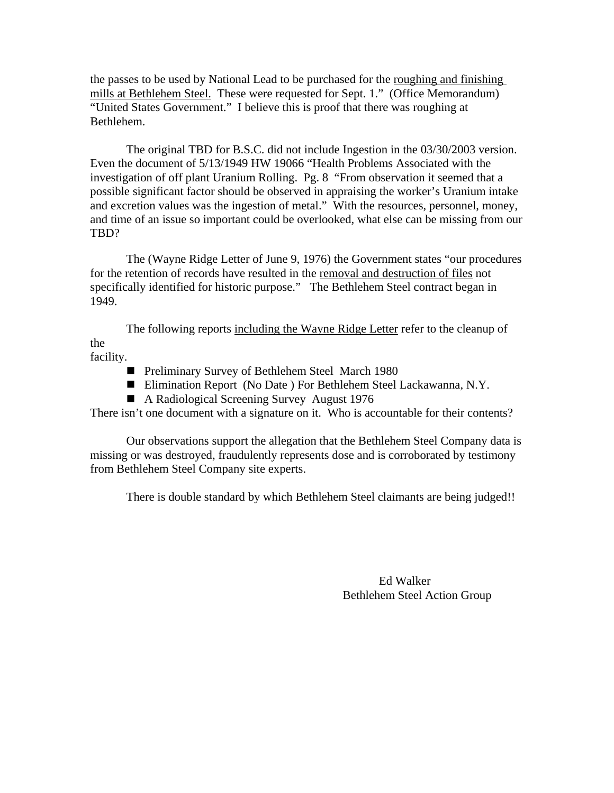the passes to be used by National Lead to be purchased for the roughing and finishing mills at Bethlehem Steel. These were requested for Sept. 1." (Office Memorandum) "United States Government." I believe this is proof that there was roughing at Bethlehem.

The original TBD for B.S.C. did not include Ingestion in the 03/30/2003 version. Even the document of 5/13/1949 HW 19066 "Health Problems Associated with the investigation of off plant Uranium Rolling. Pg. 8 "From observation it seemed that a possible significant factor should be observed in appraising the worker's Uranium intake and excretion values was the ingestion of metal." With the resources, personnel, money, and time of an issue so important could be overlooked, what else can be missing from our TBD?

The (Wayne Ridge Letter of June 9, 1976) the Government states "our procedures for the retention of records have resulted in the removal and destruction of files not specifically identified for historic purpose." The Bethlehem Steel contract began in 1949.

The following reports including the Wayne Ridge Letter refer to the cleanup of the

facility.

- **Preliminary Survey of Bethlehem Steel March 1980**
- Elimination Report (No Date) For Bethlehem Steel Lackawanna, N.Y.
- A Radiological Screening Survey August 1976

There isn't one document with a signature on it. Who is accountable for their contents?

Our observations support the allegation that the Bethlehem Steel Company data is missing or was destroyed, fraudulently represents dose and is corroborated by testimony from Bethlehem Steel Company site experts.

There is double standard by which Bethlehem Steel claimants are being judged!!

 Ed Walker Bethlehem Steel Action Group